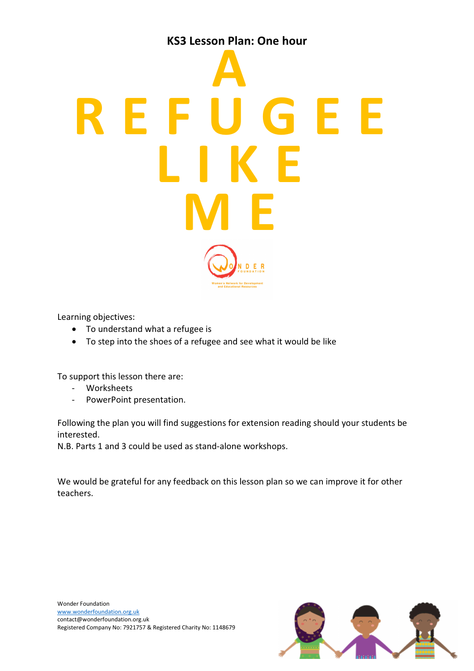

Learning objectives:

- To understand what a refugee is
- To step into the shoes of a refugee and see what it would be like

To support this lesson there are:

- Worksheets
- PowerPoint presentation.

Following the plan you will find suggestions for extension reading should your students be interested.

N.B. Parts 1 and 3 could be used as stand-alone workshops.

We would be grateful for any feedback on this lesson plan so we can improve it for other teachers.

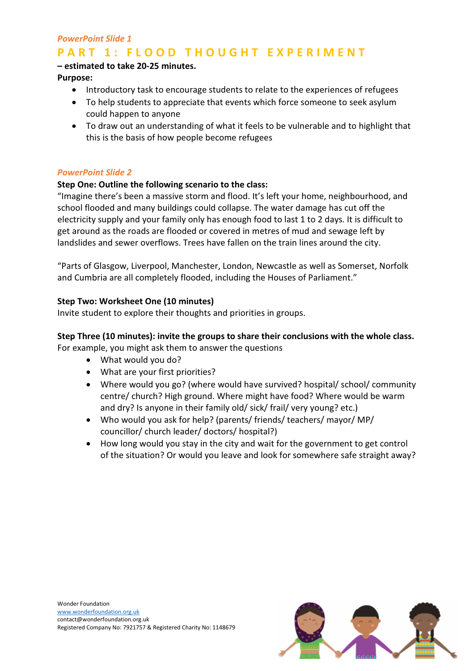# PowerPoint Slide 1

# PART 1: FLOOD THOUGHT EXPERIMENT

# – estimated to take 20-25 minutes.

Purpose:

- Introductory task to encourage students to relate to the experiences of refugees
- To help students to appreciate that events which force someone to seek asylum could happen to anyone
- To draw out an understanding of what it feels to be vulnerable and to highlight that this is the basis of how people become refugees

### PowerPoint Slide 2

### Step One: Outline the following scenario to the class:

"Imagine there's been a massive storm and flood. It's left your home, neighbourhood, and school flooded and many buildings could collapse. The water damage has cut off the electricity supply and your family only has enough food to last 1 to 2 days. It is difficult to get around as the roads are flooded or covered in metres of mud and sewage left by landslides and sewer overflows. Trees have fallen on the train lines around the city.

"Parts of Glasgow, Liverpool, Manchester, London, Newcastle as well as Somerset, Norfolk and Cumbria are all completely flooded, including the Houses of Parliament."

### Step Two: Worksheet One (10 minutes)

Invite student to explore their thoughts and priorities in groups.

# Step Three (10 minutes): invite the groups to share their conclusions with the whole class.

For example, you might ask them to answer the questions

- What would you do?
- What are your first priorities?
- Where would you go? (where would have survived? hospital/ school/ community centre/ church? High ground. Where might have food? Where would be warm and dry? Is anyone in their family old/ sick/ frail/ very young? etc.)
- Who would you ask for help? (parents/ friends/ teachers/ mayor/ MP/ councillor/ church leader/ doctors/ hospital?)
- How long would you stay in the city and wait for the government to get control of the situation? Or would you leave and look for somewhere safe straight away?



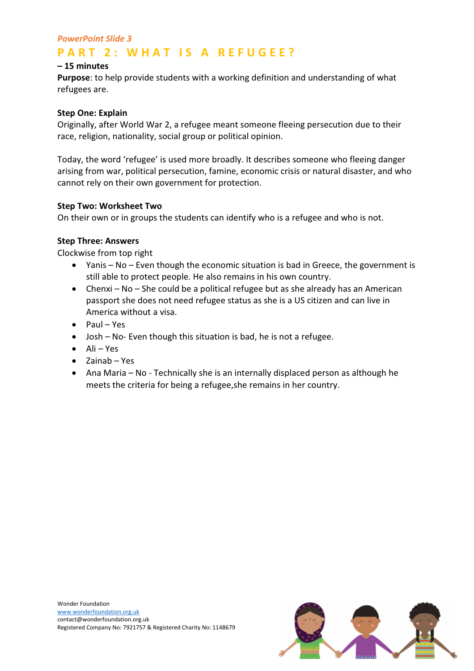# PowerPoint Slide 3

# **PART 2: WHAT IS A REFUGEE?**

# – 15 minutes

Purpose: to help provide students with a working definition and understanding of what refugees are.

#### Step One: Explain

Originally, after World War 2, a refugee meant someone fleeing persecution due to their race, religion, nationality, social group or political opinion.

Today, the word 'refugee' is used more broadly. It describes someone who fleeing danger arising from war, political persecution, famine, economic crisis or natural disaster, and who cannot rely on their own government for protection.

#### Step Two: Worksheet Two

On their own or in groups the students can identify who is a refugee and who is not.

#### Step Three: Answers

Clockwise from top right

- Yanis No Even though the economic situation is bad in Greece, the government is still able to protect people. He also remains in his own country.
- Chenxi No She could be a political refugee but as she already has an American passport she does not need refugee status as she is a US citizen and can live in America without a visa.
- Paul Yes
- Josh No- Even though this situation is bad, he is not a refugee.
- Ali Yes
- Zainab Yes
- Ana Maria No Technically she is an internally displaced person as although he meets the criteria for being a refugee,she remains in her country.



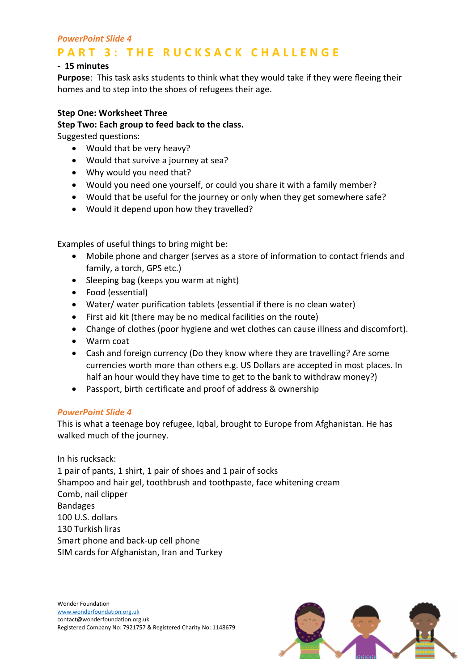# PowerPoint Slide 4

# **PART 3: THE RUCKSACK CHALLENGE**

### - 15 minutes

Purpose: This task asks students to think what they would take if they were fleeing their homes and to step into the shoes of refugees their age.

#### Step One: Worksheet Three

Step Two: Each group to feed back to the class.

Suggested questions:

- Would that be very heavy?
- Would that survive a journey at sea?
- Why would you need that?
- Would you need one yourself, or could you share it with a family member?
- Would that be useful for the journey or only when they get somewhere safe?
- Would it depend upon how they travelled?

Examples of useful things to bring might be:

- Mobile phone and charger (serves as a store of information to contact friends and family, a torch, GPS etc.)
- Sleeping bag (keeps you warm at night)
- Food (essential)
- Water/ water purification tablets (essential if there is no clean water)
- First aid kit (there may be no medical facilities on the route)
- Change of clothes (poor hygiene and wet clothes can cause illness and discomfort).
- Warm coat
- Cash and foreign currency (Do they know where they are travelling? Are some currencies worth more than others e.g. US Dollars are accepted in most places. In half an hour would they have time to get to the bank to withdraw money?)
- Passport, birth certificate and proof of address & ownership

#### PowerPoint Slide 4

This is what a teenage boy refugee, Iqbal, brought to Europe from Afghanistan. He has walked much of the journey.

In his rucksack:

1 pair of pants, 1 shirt, 1 pair of shoes and 1 pair of socks Shampoo and hair gel, toothbrush and toothpaste, face whitening cream Comb, nail clipper Bandages 100 U.S. dollars 130 Turkish liras Smart phone and back-up cell phone SIM cards for Afghanistan, Iran and Turkey

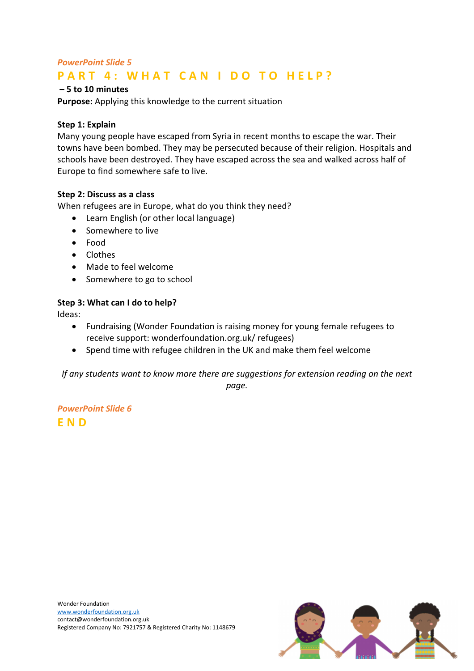# PowerPoint Slide 5 PART 4: WHAT CAN I DO TO HELP?

# – 5 to 10 minutes

Purpose: Applying this knowledge to the current situation

# Step 1: Explain

Many young people have escaped from Syria in recent months to escape the war. Their towns have been bombed. They may be persecuted because of their religion. Hospitals and schools have been destroyed. They have escaped across the sea and walked across half of Europe to find somewhere safe to live.

# Step 2: Discuss as a class

When refugees are in Europe, what do you think they need?

- Learn English (or other local language)
- Somewhere to live
- Food
- Clothes
- Made to feel welcome
- Somewhere to go to school

# Step 3: What can I do to help?

Ideas:

- Fundraising (Wonder Foundation is raising money for young female refugees to receive support: wonderfoundation.org.uk/ refugees)
- Spend time with refugee children in the UK and make them feel welcome

If any students want to know more there are suggestions for extension reading on the next page.

PowerPoint Slide 6 E N D